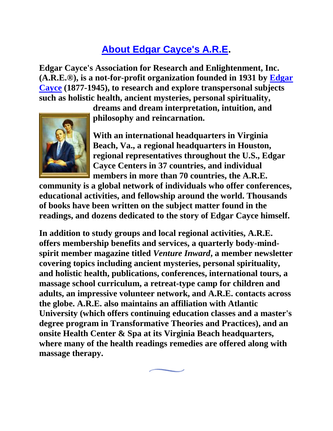## **[About Edgar Cayce's A.R.E.](http://www.edgarcayce.org/are/edgarcayce.aspx?id=1036)**

**Edgar Cayce's Association for Research and Enlightenment, Inc. (A.R.E.®), is a not-for-profit organization founded in 1931 by [Edgar](http://www.edgarcayce.org/are/edgarcayce.aspx)  [Cayce](http://www.edgarcayce.org/are/edgarcayce.aspx) (1877-1945), to research and explore transpersonal subjects such as holistic health, ancient mysteries, personal spirituality,** 

> **dreams and dream interpretation, intuition, and philosophy and reincarnation.**



**With an international headquarters in Virginia Beach, Va., a regional headquarters in Houston, regional representatives throughout the U.S., Edgar Cayce Centers in 37 countries, and individual members in more than 70 countries, the A.R.E.** 

**community is a global network of individuals who offer conferences, educational activities, and fellowship around the world. Thousands of books have been written on the subject matter found in the readings, and dozens dedicated to the story of Edgar Cayce himself.**

**In addition to study groups and local regional activities, A.R.E. offers membership benefits and services, a quarterly body-mindspirit member magazine titled** *Venture Inward***, a member newsletter covering topics including ancient mysteries, personal spirituality, and holistic health, publications, conferences, international tours, a massage school curriculum, a retreat-type camp for children and adults, an impressive volunteer network, and A.R.E. contacts across the globe. A.R.E. also maintains an affiliation with Atlantic University (which offers continuing education classes and a master's degree program in Transformative Theories and Practices), and an onsite Health Center & Spa at its Virginia Beach headquarters, where many of the health readings remedies are offered along with massage therapy.**